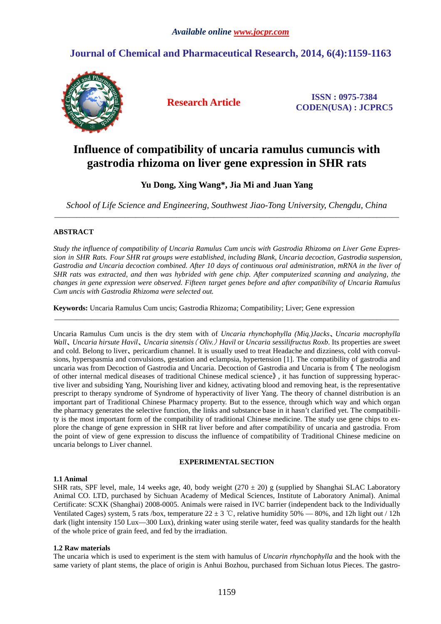## **Journal of Chemical and Pharmaceutical Research, 2014, 6(4):1159-1163**



**Research Article ISSN : 0975-7384 CODEN(USA) : JCPRC5**

# **Influence of compatibility of uncaria ramulus cumuncis with gastrodia rhizoma on liver gene expression in SHR rats**

## **Yu Dong, Xing Wang\*, Jia Mi and Juan Yang**

*School of Life Science and Engineering, Southwest Jiao-Tong University, Chengdu, China*  \_\_\_\_\_\_\_\_\_\_\_\_\_\_\_\_\_\_\_\_\_\_\_\_\_\_\_\_\_\_\_\_\_\_\_\_\_\_\_\_\_\_\_\_\_\_\_\_\_\_\_\_\_\_\_\_\_\_\_\_\_\_\_\_\_\_\_\_\_\_\_\_\_\_\_\_\_\_\_\_\_\_\_\_\_\_\_\_\_\_\_\_\_

## **ABSTRACT**

*Study the influence of compatibility of Uncaria Ramulus Cum uncis with Gastrodia Rhizoma on Liver Gene Expression in SHR Rats. Four SHR rat groups were established, including Blank, Uncaria decoction, Gastrodia suspension, Gastrodia and Uncaria decoction combined. After 10 days of continuous oral administration, mRNA in the liver of SHR rats was extracted, and then was hybrided with gene chip. After computerized scanning and analyzing, the changes in gene expression were observed. Fifteen target genes before and after compatibility of Uncaria Ramulus Cum uncis with Gastrodia Rhizoma were selected out.* 

\_\_\_\_\_\_\_\_\_\_\_\_\_\_\_\_\_\_\_\_\_\_\_\_\_\_\_\_\_\_\_\_\_\_\_\_\_\_\_\_\_\_\_\_\_\_\_\_\_\_\_\_\_\_\_\_\_\_\_\_\_\_\_\_\_\_\_\_\_\_\_\_\_\_\_\_\_\_\_\_\_\_\_\_\_\_\_\_\_\_\_\_\_

**Keywords:** Uncaria Ramulus Cum uncis; Gastrodia Rhizoma; Compatibility; Liver; Gene expression

Uncaria Ramulus Cum uncis is the dry stem with of *Uncaria rhynchophylla (Miq.)Jacks*、*Uncaria macrophylla Wall*, *Uncaria hirsute Havil*, *Uncaria sinensis* (Oliv.) *Havil* or *Uncaria sessilifructus Roxb*. Its properties are sweet and cold. Belong to liver、pericardium channel. It is usually used to treat Headache and dizziness, cold with convulsions, hyperspasmia and convulsions, gestation and eclampsia, hypertension [1]. The compatibility of gastrodia and uncaria was from Decoction of Gastrodia and Uncaria. Decoction of Gastrodia and Uncaria is from 《 The neologism of other internal medical diseases of traditional Chinese medical science》 , it has function of suppressing hyperactive liver and subsiding Yang, Nourishing liver and kidney, activating blood and removing heat, is the representative prescript to therapy syndrome of Syndrome of hyperactivity of liver Yang. The theory of channel distribution is an important part of Traditional Chinese Pharmacy property. But to the essence, through which way and which organ the pharmacy generates the selective function, the links and substance base in it hasn't clarified yet. The compatibility is the most important form of the compatibility of traditional Chinese medicine. The study use gene chips to explore the change of gene expression in SHR rat liver before and after compatibility of uncaria and gastrodia. From the point of view of gene expression to discuss the influence of compatibility of Traditional Chinese medicine on uncaria belongs to Liver channel.

#### **EXPERIMENTAL SECTION**

#### **1.1 Animal**

SHR rats, SPF level, male, 14 weeks age, 40, body weight  $(270 \pm 20)$  g (supplied by Shanghai SLAC Laboratory Animal CO. LTD, purchased by Sichuan Academy of Medical Sciences, Institute of Laboratory Animal). Animal Certificate: SCXK (Shanghai) 2008-0005. Animals were raised in IVC barrier (independent back to the Individually Ventilated Cages) system, 5 rats /box, temperature  $22 \pm 3$  °C, relative humidity 50% — 80%, and 12h light out / 12h dark (light intensity 150 Lux—300 Lux), drinking water using sterile water, feed was quality standards for the health of the whole price of grain feed, and fed by the irradiation.

#### **1.2 Raw materials**

The uncaria which is used to experiment is the stem with hamulus of *Uncarin rhynchophylla* and the hook with the same variety of plant stems, the place of origin is Anhui Bozhou, purchased from Sichuan lotus Pieces. The gastro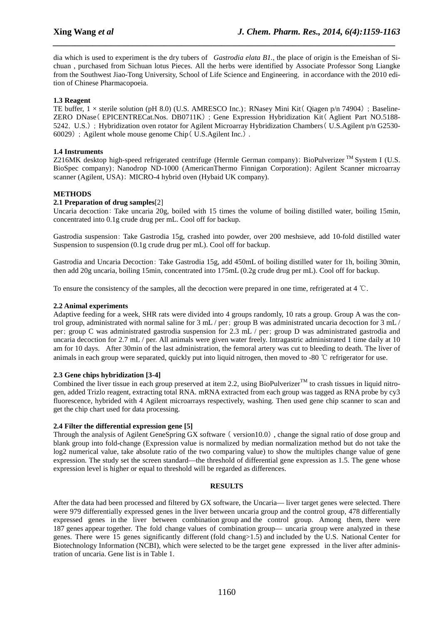dia which is used to experiment is the dry tubers of *Gastrodia elata B1.*, the place of origin is the Emeishan of Sichuan , purchased from Sichuan lotus Pieces. All the herbs were identified by Associate Professor Song Liangke from the Southwest Jiao-Tong University, School of Life Science and Engineering, in accordance with the 2010 edition of Chinese Pharmacopoeia.

*\_\_\_\_\_\_\_\_\_\_\_\_\_\_\_\_\_\_\_\_\_\_\_\_\_\_\_\_\_\_\_\_\_\_\_\_\_\_\_\_\_\_\_\_\_\_\_\_\_\_\_\_\_\_\_\_\_\_\_\_\_\_\_\_\_\_\_\_\_\_\_\_\_\_\_\_\_*

## **1.3 Reagent**

TE buffer,  $1 \times$  sterile solution (pH 8.0) (U.S. AMRESCO Inc.); RNasey Mini Kit (Oiagen p/n 74904) : Baseline-ZERO DNase (EPICENTRECat.Nos. DB0711K) ; Gene Expression Hybridization Kit (Aglient Part NO.5188-5242, U.S.); Hybridization oven rotator for Agilent Microarray Hybridization Chambers (U.S.Agilent p/n G2530- $60029$ ) ; Agilent whole mouse genome Chip( U.S.Agilent Inc.).

## **1.4 Instruments**

Z216MK desktop high-speed refrigerated centrifuge (Hermle German company); BioPulverizer  $^{TM}$  System I (U.S. BioSpec company); Nanodrop ND-1000 (AmericanThermo Finnigan Corporation); Agilent Scanner microarray scanner (Agilent, USA); MICRO-4 hybrid oven (Hybaid UK company).

## **METHODS**

## **2.1 Preparation of drug samples**[2]

Uncaria decoction: Take uncaria 20g, boiled with 15 times the volume of boiling distilled water, boiling 15min, concentrated into 0.1g crude drug per mL. Cool off for backup.

Gastrodia suspension: Take Gastrodia 15g, crashed into powder, over 200 meshsieve, add 10-fold distilled water Suspension to suspension (0.1g crude drug per mL). Cool off for backup.

Gastrodia and Uncaria Decoction: Take Gastrodia 15g, add 450mL of boiling distilled water for 1h, boiling 30min, then add 20g uncaria, boiling 15min, concentrated into 175mL (0.2g crude drug per mL). Cool off for backup.

To ensure the consistency of the samples, all the decoction were prepared in one time, refrigerated at 4 ℃.

#### **2.2 Animal experiments**

Adaptive feeding for a week, SHR rats were divided into 4 groups randomly, 10 rats a group. Group A was the control group, administrated with normal saline for 3 mL / per; group B was administrated uncaria decoction for 3 mL / per; group C was administrated gastrodia suspension for 2.3 mL / per; group D was administrated gastrodia and uncaria decoction for 2.7 mL / per. All animals were given water freely. Intragastric administrated 1 time daily at 10 am for 10 days. After 30min of the last administration, the femoral artery was cut to bleeding to death. The liver of animals in each group were separated, quickly put into liquid nitrogen, then moved to -80 ℃ refrigerator for use.

#### **2.3 Gene chips hybridization [3-4]**

Combined the liver tissue in each group preserved at item 2.2, using BioPulverizer<sup>TM</sup> to crash tissues in liquid nitrogen, added Trizlo reagent, extracting total RNA. mRNA extracted from each group was tagged as RNA probe by cy3 fluorescence, hybrided with 4 Agilent microarrays respectively, washing. Then used gene chip scanner to scan and get the chip chart used for data processing.

#### **2.4 Filter the differential expression gene [5]**

Through the analysis of Agilent GeneSpring GX software ( $\text{version10.0}$ ), change the signal ratio of dose group and blank group into fold-change (Expression value is normalized by median normalization method but do not take the log2 numerical value, take absolute ratio of the two comparing value) to show the multiples change value of gene expression. The study set the screen standard—the threshold of differential gene expression as 1.5. The gene whose expression level is higher or equal to threshold will be regarded as differences.

#### **RESULTS**

After the data had been processed and filtered by GX software, the Uncaria— liver target genes were selected. There were 979 differentially expressed genes in the liver between uncaria group and the control group, 478 differentially expressed genes in the liver between combination group and the control group. Among them, there were 187 genes appear together. The fold change values of combination group— uncaria group were analyzed in these genes. There were 15 genes significantly different (fold chang>1.5) and included by the U.S. National Center for Biotechnology Information (NCBI), which were selected to be the target gene expressed in the liver after administration of uncaria. Gene list is in Table 1.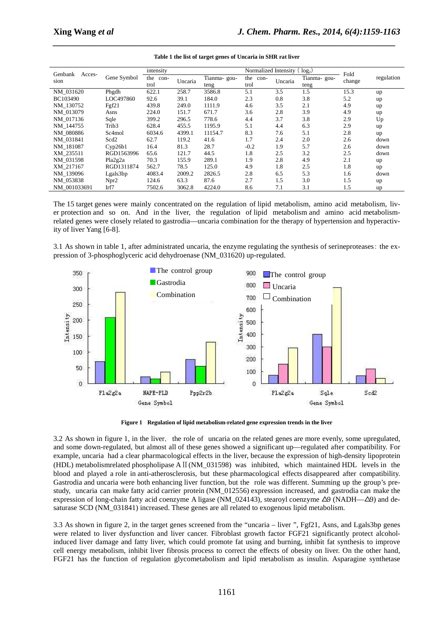|                           |                  |                  |         |             |                      |             | $log2$ ) |            |      |
|---------------------------|------------------|------------------|---------|-------------|----------------------|-------------|----------|------------|------|
| Genbank<br>Acces-<br>sion | Gene Symbol      | intensity        |         |             | Normalized Intensity |             | Fold     |            |      |
|                           |                  | the con-<br>trol | Uncaria | Tianma-gou- | the con-             | Tianma-gou- |          | regulation |      |
|                           |                  |                  |         | teng        | trol                 | Uncaria     | teng     | change     |      |
| NM 031620                 | Phgdh            | 622.1            | 258.7   | 3586.8      | 5.1                  | 3.5         | 1.5      | 15.3       | up   |
| BC103490                  | LOC497860        | 92.6             | 39.1    | 184.0       | 2.3                  | 0.8         | 3.8      | 5.2        | up   |
| NM 130752                 | Fgf21            | 439.8            | 249.0   | 1111.9      | 4.6                  | 3.5         | 2.1      | 4.9        | up   |
| NM 013079                 | Asns             | 224.0            | 151.7   | 671.7       | 3.6                  | 2.8         | 3.9      | 4.9        | up   |
| NM 017136                 | Sqle             | 399.2            | 296.5   | 778.6       | 4.4                  | 3.7         | 3.8      | 2.9        | Up   |
| NM 144755                 | Trib3            | 628.4            | 455.5   | 1195.9      | 5.1                  | 4.4         | 6.3      | 2.9        | up   |
| NM 080886                 | Sc4mol           | 6034.6           | 4399.1  | 11154.7     | 8.3                  | 7.6         | 5.1      | 2.8        | up   |
| NM 031841                 | Scd2             | 62.7             | 119.2   | 41.6        | 1.7                  | 2.4         | 2.0      | 2.6        | down |
| NM 181087                 | Cvp26b1          | 16.4             | 81.3    | 28.7        | $-0.2$               | 1.9         | 5.7      | 2.6        | down |
| XM 235511                 | RGD1563996       | 65.6             | 121.7   | 44.5        | 1.8                  | 2.5         | 3.2      | 2.5        | down |
| NM 031598                 | Pla2g2a          | 70.3             | 155.9   | 289.1       | 1.9                  | 2.8         | 4.9      | 2.1        | up   |
| XM_217167                 | RGD1311874       | 562.7            | 78.5    | 125.0       | 4.9                  | 1.8         | 2.5      | 1.8        | up   |
| NM 139096                 | Lgals3bp         | 4083.4           | 2009.2  | 2826.5      | 2.8                  | 6.5         | 5.3      | 1.6        | down |
| NM_053838                 | Npr <sub>2</sub> | 124.6            | 63.3    | 87.6        | 2.7                  | 1.5         | 3.0      | 1.5        | up   |
| NM 001033691              | Irf7             | 7502.6           | 3062.8  | 4224.0      | 8.6                  | 7.1         | 3.1      | 1.5        | up   |

|  |  |  |  |  | Table 1 the list of target genes of Uncaria in SHR rat liver |
|--|--|--|--|--|--------------------------------------------------------------|
|  |  |  |  |  |                                                              |

*\_\_\_\_\_\_\_\_\_\_\_\_\_\_\_\_\_\_\_\_\_\_\_\_\_\_\_\_\_\_\_\_\_\_\_\_\_\_\_\_\_\_\_\_\_\_\_\_\_\_\_\_\_\_\_\_\_\_\_\_\_\_\_\_\_\_\_\_\_\_\_\_\_\_\_\_\_*

The 15 target genes were mainly concentrated on the regulation of lipid metabolism, amino acid metabolism, liver protection and so on. And in the liver, the regulation of lipid metabolism and amino acid metabolismrelated genes were closely related to gastrodia—uncaria combination for the therapy of hypertension and hyperactivity of liver Yang [6-8].

3.1 As shown in table 1, after administrated uncaria, the enzyme regulating the synthesis of serineproteases: the expression of 3-phosphoglyceric acid dehydroenase (NM\_031620) up-regulated.



**Figure 1 Regulation of lipid metabolism-related gene expression trends in the liver** 

3.2 As shown in figure 1, in the liver, the role of uncaria on the related genes are more evenly, some upregulated, and some down-regulated, but almost all of these genes showed a significant up—regulated after compatibility. For example, uncaria had a clear pharmacological effects in the liver, because the expression of high-density lipoprotein (HDL) metabolismrelated phospholipase AⅡ(NM\_031598) was inhibited, which maintained HDL levels in the blood and played a role in anti-atherosclerosis, but these pharmacological effects disappeared after compatibility. Gastrodia and uncaria were both enhancing liver function, but the role was different. Summing up the group's prestudy, uncaria can make fatty acid carrier protein (NM\_012556) expression increased, and gastrodia can make the expression of long-chain fatty acid coenzyme A ligase (NM\_024143), stearoyl coenzyme △9 (NADH—△9) and desaturase SCD (NM\_031841) increased. These genes are all related to exogenous lipid metabolism.

3.3 As shown in figure 2, in the target genes screened from the "uncaria – liver ", Fgf21, Asns, and Lgals3bp genes were related to liver dysfunction and liver cancer. Fibroblast growth factor FGF21 significantly protect alcoholinduced liver damage and fatty liver, which could promote fat using and burning, inhibit fat synthesis to improve cell energy metabolism, inhibit liver fibrosis process to correct the effects of obesity on liver. On the other hand, FGF21 has the function of regulation glycometabolism and lipid metabolism as insulin. Asparagine synthetase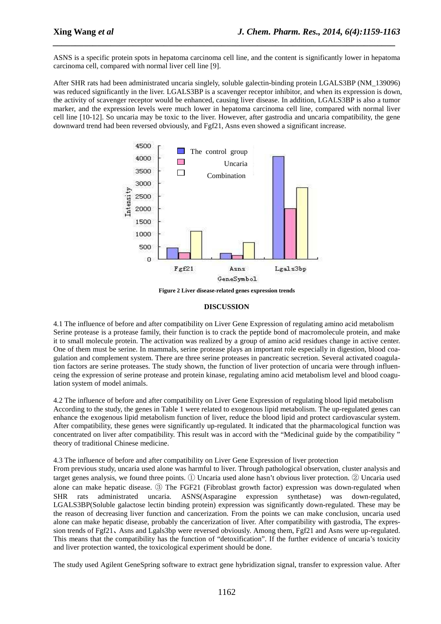ASNS is a specific protein spots in hepatoma carcinoma cell line, and the content is significantly lower in hepatoma carcinoma cell, compared with normal liver cell line [9].

*\_\_\_\_\_\_\_\_\_\_\_\_\_\_\_\_\_\_\_\_\_\_\_\_\_\_\_\_\_\_\_\_\_\_\_\_\_\_\_\_\_\_\_\_\_\_\_\_\_\_\_\_\_\_\_\_\_\_\_\_\_\_\_\_\_\_\_\_\_\_\_\_\_\_\_\_\_*

After SHR rats had been administrated uncaria singlely, soluble galectin-binding protein LGALS3BP (NM\_139096) was reduced significantly in the liver. LGALS3BP is a scavenger receptor inhibitor, and when its expression is down, the activity of scavenger receptor would be enhanced, causing liver disease. In addition, LGALS3BP is also a tumor marker, and the expression levels were much lower in hepatoma carcinoma cell line, compared with normal liver cell line [10-12]. So uncaria may be toxic to the liver. However, after gastrodia and uncaria compatibility, the gene downward trend had been reversed obviously, and Fgf21, Asns even showed a significant increase.



**Figure 2 Liver disease-related genes expression trends** 

#### **DISCUSSION**

4.1 The influence of before and after compatibility on Liver Gene Expression of regulating amino acid metabolism Serine protease is a protease family, their function is to crack the peptide bond of macromolecule protein, and make it to small molecule protein. The activation was realized by a group of amino acid residues change in active center. One of them must be serine. In mammals, serine protease plays an important role especially in digestion, blood coagulation and complement system. There are three serine proteases in pancreatic secretion. Several activated coagulation factors are serine proteases. The study shown, the function of liver protection of uncaria were through influenceing the expression of serine protease and protein kinase, regulating amino acid metabolism level and blood coagulation system of model animals.

4.2 The influence of before and after compatibility on Liver Gene Expression of regulating blood lipid metabolism According to the study, the genes in Table 1 were related to exogenous lipid metabolism. The up-regulated genes can enhance the exogenous lipid metabolism function of liver, reduce the blood lipid and protect cardiovascular system. After compatibility, these genes were significantly up-regulated. It indicated that the pharmacological function was concentrated on liver after compatibility. This result was in accord with the "Medicinal guide by the compatibility " theory of traditional Chinese medicine.

4.3 The influence of before and after compatibility on Liver Gene Expression of liver protection

From previous study, uncaria used alone was harmful to liver. Through pathological observation, cluster analysis and target genes analysis, we found three points. ① Uncaria used alone hasn't obvious liver protection. ② Uncaria used alone can make hepatic disease. ③ The FGF21 (Fibroblast growth factor) expression was down-regulated when SHR rats administrated uncaria. ASNS(Asparagine expression synthetase) was down-regulated, LGALS3BP(Soluble galactose lectin binding protein) expression was significantly down-regulated. These may be the reason of decreasing liver function and cancerization. From the points we can make conclusion, uncaria used alone can make hepatic disease, probably the cancerization of liver. After compatibility with gastrodia, The expression trends of Fgf21、Asns and Lgals3bp were reversed obviously. Among them, Fgf21 and Asns were up-regulated. This means that the compatibility has the function of "detoxification". If the further evidence of uncaria's toxicity and liver protection wanted, the toxicological experiment should be done.

The study used Agilent GeneSpring software to extract gene hybridization signal, transfer to expression value. After